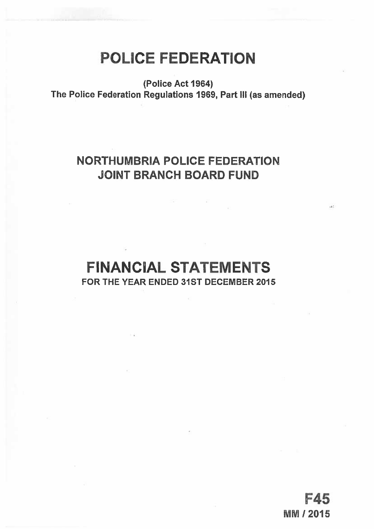# POLICE FEDERATION

(Police Act 1964) The Police Federation Regulations 1969, Part Ill (as amended)

## NORTHUMBRIA POLICE FEDERATION JOINT BRANCH BOARD FUND

## FINANCIAL STATEMENTS FOR THE YEAR ENDED 31ST DECEMBER 2015

F45 **MM / 2015**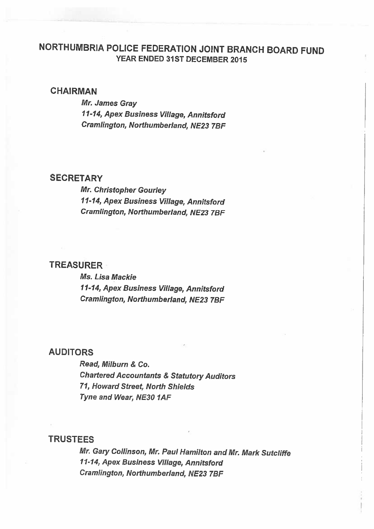## NORTHUMBRIA POLICE FEDERATION JOINT BRANCH BOARD FUND YEAR ENDED 31ST DECEMBER 2015

### **CHAIRMAN**

Mr. James Gray 11-14, Apex Business Village, Annitsford Cramlington, Northumberland, NE23 7BF

### **SECRETARY**

Mr. Christopher Gourley 11-14, Apex Business Village, Annitsford Cramlington, Northumberland, NE23 TBF

## TREASURER

Ms. Lisa Mackie 11-14, Apex Business Village, Annitsford Cramlington, Northumberland, NE23 7BF

### AUDITORS

Read, Milburn & Co. Chartered Accountants & Statutory Auditors 71, Howard Street, North Shields Tyne and Wear, NE30 1AF

### TRUSTEES

Mr. Gary Collinson, Mr. Paul Hamilton and Mr. Mark Sutcliffe 11-14, Apex Business Village, Annitsford Cramlington, Northumberland, NE23 7BF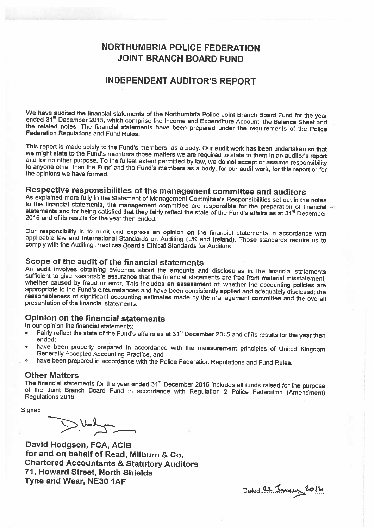## NORTHUMBRIA POLICE FEDERATION JOINT BRANCH BOARD FUND

### INDEPENDENT AUDITOR'S REPORT

We have audited the financial statements of the Northumbria Police Joint Branch Board Fund for the year ended 31<sup>st</sup> December 2015, which comprise the Income and Expenditure Account, the Balance Sheet and the related notes

This report is made solely to the Fund's members, as a body. Our audit work has been undertaken so that we might state to the Fund's members those matters we are required to state to them in an auditor's report and for no other purpose. To the fullest extent permitted by law, we do not accept or assume responsibility to anyone other than the Fund and the Fund's members as a body, for our audit work, for this report or for the opi

Respective responsibilities of the management committee and auditors<br>As explained more fully in the Statement of Management Committee's Responsibilities set out in the notes<br>to the financial statements, the management comm

Our responsibility is to audit and express an opinion on the financial statements in accordance with applicable law and International Standards on Auditing (UK and Ireland). Those standards require us to comply with the Auditing Practices Board's Ethical Standards for Auditors.

Scope of the audit of the financial statements<br>An audit involves obtaining evidence about the amounts and disclosures in the financial statements sufficient to give reasonable assurance that the financial statements are free from material misstatement,<br>whether caused by fraud or error. This includes an assessment of: whether the accounting policies are<br>appropriate t

### Opinion on the financial statements

In our opinion the financial statements:

- •Fairly reflect the state of the Fund's affairs as at 31<sup>st</sup> December 2015 and of its results for the year then ended;
- •have been properly prepared in accordance with the measurement principles of United Kingdom<br>Generally Accepted Accounting Practice, and
- •have been prepared in accordance with the Police Federation Regulations and Fund Rules.

Other Matters<br>The financial statements for the year ended 31<sup>st</sup> December 2015 includes all funds raised for the purpose The financial statements for the year ended 3l December 2015 includes all funds raised for the purpose of the Joint Branch Board Fund in accordance with Regulation 2 Police Federation (Amendment) Regulations 2015

Signed:

 $\sum M$ 

David Hodgson, FCA, ACIB for and on behalf of Read, Milburn & Co. Chartered Accountants & Statutory Auditors 71, Howard Street, North Shields Tyne and Wear, NE30 1AF

Dated 22 Janver 2016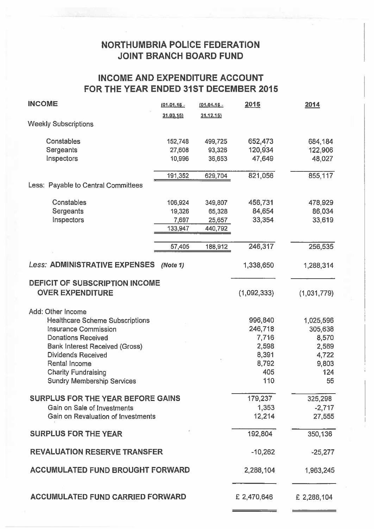## NORTHUMBRIA POLICE FEDERATION JOINT BRANCH BOARD FUND

## INCOME AND EXPENDITURE ACCOUNT FOR THE YEAR ENDED 31ST DECEMBER 2015

| <b>INCOME</b>                                                                                                                                                                                                                                                                     | $(01.01.15 -$                         | $(01.04.15 -$                          | 2015                                                                 | 2014                                                                  |
|-----------------------------------------------------------------------------------------------------------------------------------------------------------------------------------------------------------------------------------------------------------------------------------|---------------------------------------|----------------------------------------|----------------------------------------------------------------------|-----------------------------------------------------------------------|
| <b>Weekly Subscriptions</b>                                                                                                                                                                                                                                                       | 31.03.15                              | 31.12.15                               |                                                                      |                                                                       |
| Constables<br>Sergeants<br>Inspectors                                                                                                                                                                                                                                             | 152,748<br>27,608<br>10,996           | 499,725<br>93,326<br>36,653            | 652,473<br>120,934<br>47,649                                         | 684,184<br>122,906<br>48,027                                          |
| Less: Payable to Central Committees                                                                                                                                                                                                                                               | 191,352                               | 629,704                                | 821,056                                                              | 855,117                                                               |
|                                                                                                                                                                                                                                                                                   |                                       |                                        |                                                                      |                                                                       |
| Constables<br>Sergeants<br>Inspectors                                                                                                                                                                                                                                             | 106,924<br>19,326<br>7,697<br>133,947 | 349,807<br>65,328<br>25,657<br>440,792 | 456,731<br>84,654<br>33,354                                          | 478,929<br>86,034<br>33,619                                           |
|                                                                                                                                                                                                                                                                                   | 57,405                                | 188,912                                | 246,317                                                              | 256,535                                                               |
|                                                                                                                                                                                                                                                                                   |                                       |                                        |                                                                      |                                                                       |
| <b>Less: ADMINISTRATIVE EXPENSES</b>                                                                                                                                                                                                                                              | (Note 1)                              |                                        | 1,338,650                                                            | 1,288,314                                                             |
| DEFICIT OF SUBSCRIPTION INCOME<br><b>OVER EXPENDITURE</b>                                                                                                                                                                                                                         |                                       |                                        | (1,092,333)                                                          | (1,031,779)                                                           |
| Add: Other Income<br><b>Healthcare Scheme Subscriptions</b><br><b>Insurance Commission</b><br><b>Donations Received</b><br><b>Bank Interest Received (Gross)</b><br><b>Dividends Received</b><br>Rental Income<br><b>Charity Fundraising</b><br><b>Sundry Membership Services</b> |                                       |                                        | 996,840<br>246,718<br>7,716<br>2,598<br>8,391<br>8,792<br>405<br>110 | 1,025,596<br>305,638<br>8,570<br>2,569<br>4,722<br>9,803<br>124<br>55 |
| <b>SURPLUS FOR THE YEAR BEFORE GAINS</b><br>Gain on Sale of Investments<br>Gain on Revaluation of Investments                                                                                                                                                                     |                                       |                                        | 179,237<br>1,353<br>12,214                                           | 325,298<br>$-2,717$<br>27,555                                         |
| <b>SURPLUS FOR THE YEAR</b>                                                                                                                                                                                                                                                       |                                       |                                        | 192,804                                                              | 350,136                                                               |
| <b>REVALUATION RESERVE TRANSFER</b>                                                                                                                                                                                                                                               |                                       |                                        | $-10,262$                                                            | $-25,277$                                                             |
| <b>ACCUMULATED FUND BROUGHT FORWARD</b>                                                                                                                                                                                                                                           |                                       |                                        | 2,288,104                                                            | 1,963,245                                                             |
| <b>ACCUMULATED FUND CARRIED FORWARD</b>                                                                                                                                                                                                                                           |                                       | £ 2,470,646                            | £ 2,288,104                                                          |                                                                       |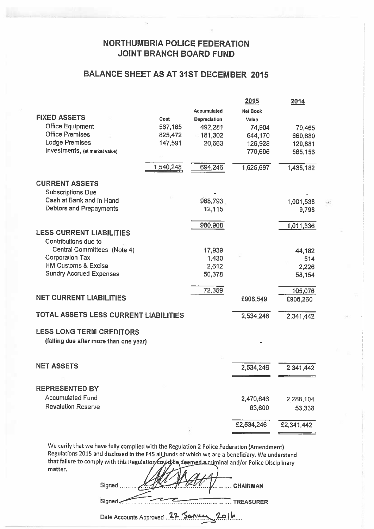## NORTHUMBRIA POLICE FEDERATION JOINT BRANCH BOARD FUND

## BALANCE SHEET AS AT 31ST DECEMBER 2015

|                                        |           |                    | <u> 2015</u>    | 2014       |
|----------------------------------------|-----------|--------------------|-----------------|------------|
|                                        |           | <b>Accumulated</b> | <b>Net Book</b> |            |
| <b>FIXED ASSETS</b>                    | Cost      | Depreciation       | Value           |            |
| <b>Office Equipment</b>                | 567,185   | 492,281            | 74,904          | 79,465     |
| <b>Office Premises</b>                 | 825,472   | $= 181,302$        | 644,170         | 660,680    |
| <b>Lodge Premises</b>                  | 147,591   | 20,663             | 126,928         | 129,881    |
| Investments, (at market value)         |           |                    | 779,695         | 565,156    |
|                                        |           |                    |                 |            |
|                                        | 1,540,248 | 694,246            | 1,625,697       | 1,435,182  |
|                                        |           |                    |                 |            |
| <b>CURRENT ASSETS</b>                  |           |                    |                 |            |
| <b>Subscriptions Due</b>               |           |                    |                 |            |
| Cash at Bank and in Hand               |           | 968,793            |                 | 1,001,538  |
| Debtors and Prepayments                |           | 12,115             |                 | 9,798      |
|                                        |           | 980,908            |                 | 1,011,336  |
| <b>LESS CURRENT LIABILITIES</b>        |           |                    |                 |            |
| Contributions due to                   |           |                    |                 |            |
| Central Committees (Note 4)            |           | 17,939             |                 | 44,182     |
| <b>Corporation Tax</b>                 |           | 1,430              |                 | 514        |
| <b>HM Customs &amp; Excise</b>         |           | 2,612              |                 | 2,226      |
| <b>Sundry Accrued Expenses</b>         |           | 50,378             |                 | 58,154     |
|                                        |           |                    |                 |            |
|                                        |           | 72,359             |                 | 105,076    |
| <b>NET CURRENT LIABILITIES</b>         |           |                    | £908,549        | £906,260   |
| TOTAL ASSETS LESS CURRENT LIABILITIES  |           |                    |                 |            |
|                                        |           |                    | 2,534,246       | 2,341,442  |
| <b>LESS LONG TERM CREDITORS</b>        |           |                    |                 |            |
| (falling due after more than one year) |           |                    |                 |            |
|                                        |           |                    |                 |            |
|                                        |           |                    |                 |            |
| <b>NET ASSETS</b>                      |           |                    | 2,534,246       | 2,341,442  |
|                                        |           |                    |                 |            |
| <b>REPRESENTED BY</b>                  |           |                    |                 |            |
| <b>Accumulated Fund</b>                |           |                    |                 |            |
| <b>Revalution Reserve</b>              |           |                    | 2,470,646       | 2,288,104  |
|                                        |           |                    | 63,600          | 53,338     |
|                                        |           |                    | £2,534,246      | £2,341,442 |
|                                        |           |                    |                 |            |
|                                        |           |                    |                 |            |

ù.

We cerify that we have fully complied with the Regulation <sup>2</sup> Police Federation (Amendment) Regulations 2015 and disclosed in the F45 all funds of which we are a beneficiary. We understand that failure to comply with this Regulation to understand and/or Police Disciplinary matter.

Signed. ....... CHAIRMAN

Signed

Date Accounts Approved 22 Sanvey 2016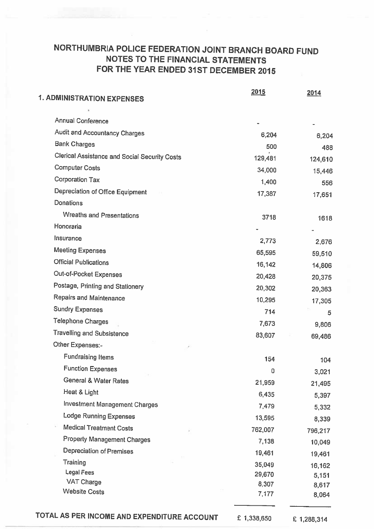## NORTHUMBRIA POLICE FEDERATION JOINT BRANCH BOARD FUND NOTES TO THE FINANCIAL STATEMENTS FOR THE YEAR ENDED 31ST DECEMBER 2015

| <b>1. ADMINISTRATION EXPENSES</b>                    | 2015    | 2014            |
|------------------------------------------------------|---------|-----------------|
|                                                      |         |                 |
| <b>Annual Conference</b>                             |         |                 |
| Audit and Accountancy Charges                        | 6,204   | 6,204           |
| <b>Bank Charges</b>                                  | 500     | 488             |
| <b>Clerical Assistance and Social Security Costs</b> | 129,481 | 124,610         |
| <b>Computer Costs</b>                                | 34,000  | 15,446          |
| <b>Corporation Tax</b>                               | 1,400   | 556             |
| Depreciation of Office Equipment                     | 17,387  | 17,651          |
| Donations                                            |         |                 |
| <b>Wreaths and Presentations</b>                     | 3718    | 1618            |
| Honoraria                                            |         |                 |
| Insurance                                            | 2,773   | 2,676           |
| <b>Meeting Expenses</b>                              | 65,595  | 59,510          |
| <b>Official Publications</b>                         | 16,142  | 14,806          |
| Out-of-Pocket Expenses                               | 20,428  | 20,375          |
| Postage, Printing and Stationery                     | 20,302  | 20,363          |
| <b>Repairs and Maintenance</b>                       | 10,295  | 17,305          |
| <b>Sundry Expenses</b>                               | 714     | 5               |
| <b>Telephone Charges</b>                             | 7,673   | 9,806           |
| <b>Travelling and Subsistence</b>                    | 83,607  | 69,486          |
| Other Expenses:-                                     |         |                 |
| <b>Fundraising Items</b>                             | 154     | 104             |
| <b>Function Expenses</b>                             | 0       | 3,021           |
| <b>General &amp; Water Rates</b>                     | 21,959  | 21,495          |
| Heat & Light                                         | 6,435   | 5,397           |
| <b>Investment Management Charges</b>                 | 7,479   | 5,332           |
| Lodge Running Expenses                               | 13,595  | 8,339           |
| <b>Medical Treatment Costs</b>                       | 762,007 | 796,217         |
| <b>Property Management Charges</b>                   | 7,138   | 10,049          |
| Depreciation of Premises                             | 19,461  | 19,461          |
| Training                                             | 35,049  |                 |
| <b>Legal Fees</b>                                    | 29,670  | 16,162<br>5,151 |
| VAT Charge                                           | 8,307   | 8,617           |
| <b>Website Costs</b>                                 | 7,177   | 8,064           |

TOTAL AS PER INCOME AND EXPENDITURE ACCOUNT  $E$  1,338,650  $E$  1,288,314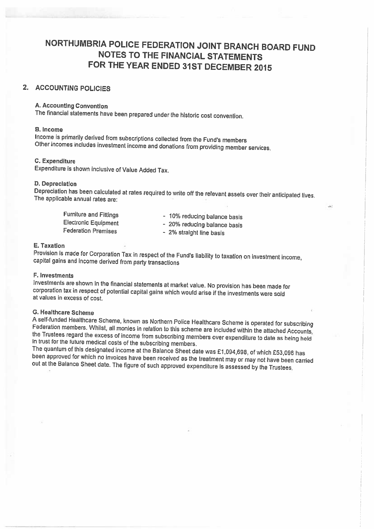## NORTHUMBRIA POLICE FEDERATION JOINT BRANCH BOARD FUND NOTES TO THE FINANCIAL STATEMENTS FOR THE YEAR ENDED 31ST DECEMBER <sup>2015</sup>

## 2. ACCOUNTING POLICIES

#### A. Accounting Convention

The financial statements have been prepared under the historic cost convention.

B. Income<br>Income is primarily derived from subscriptions collected from the Fund's members Other incomes includes investment income and donations from providing member services.

### C. Expenditure

Expenditure is shown inclusive of Value Added Tax.

### D. Depreciation

Depreciation has been calculated at rates required to write off the relevant assets over their anticipated lives. The applicable annual rates are:

Furniture and Fittings<br>
Electronic Equipment<br>
- 20% reducing balance basis<br>
- 20% reducing balance basis Federation Premises

- 
- 20% reducing balance basis
- 2% straight line basis

#### E. Taxation

Provision is made for Corporation Tax in respect of the Fund's liability to taxation on investment income, capital gains and income derived from party transactions

#### F. Investments

Investments are shown in the financial statements at market value. No provision has been made for corporation tax in respect of potential capital gains which would arise if the investments were sold at values in excess of

G. Healthcare Scheme<br>A self-funded Healthcare Scheme, known as Northern Police Healthcare Scheme is operated for subscribing Federation members. Whilst, all monies in relation to this scheme are included within the attached Accounts, the Trustees regard the excess of income from subscribing members over expenditure to date as being held in trust